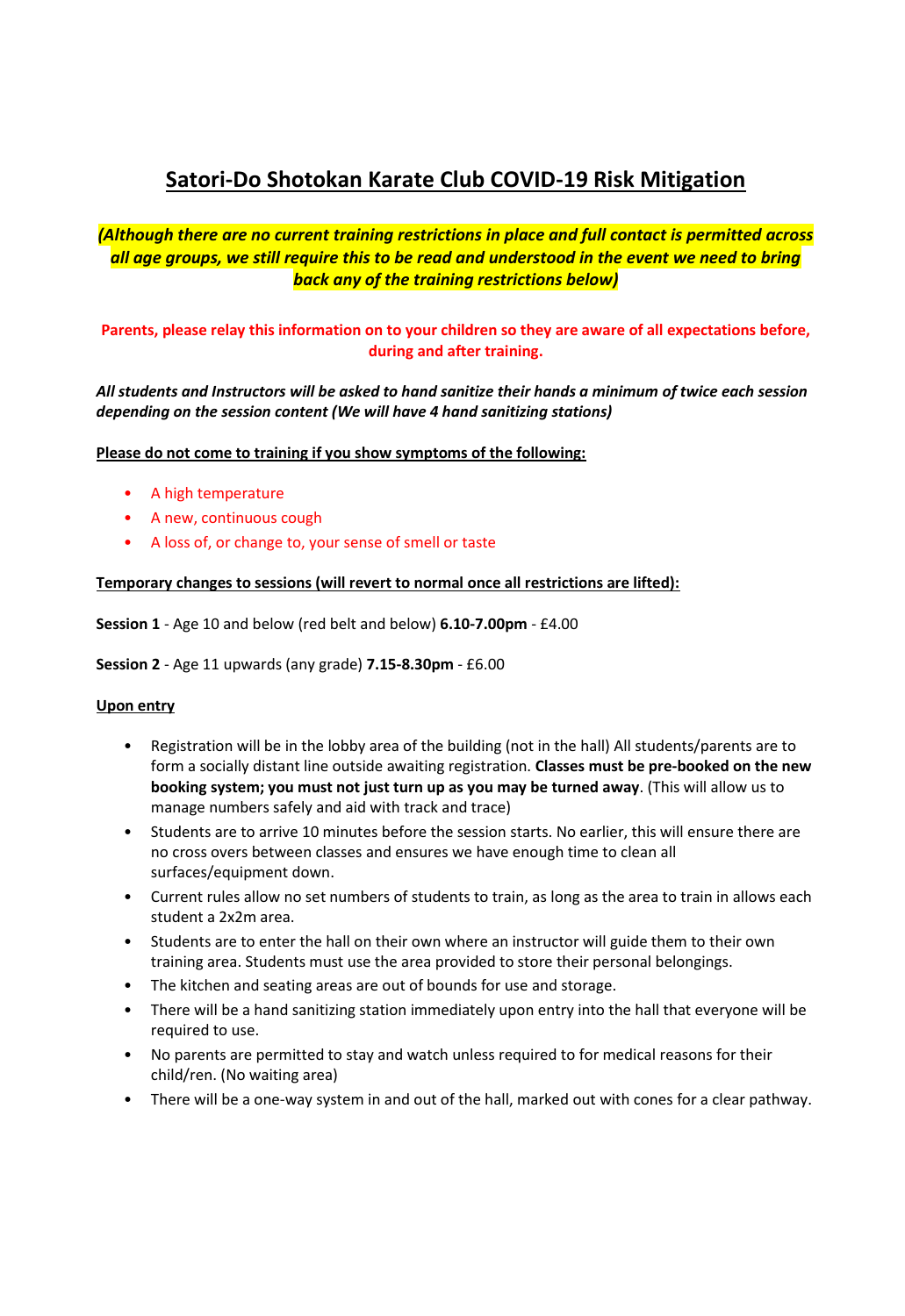# **Satori-Do Shotokan Karate Club COVID-19 Risk Mitigation**

# *(Although there are no current training restrictions in place and full contact is permitted across all age groups, we still require this to be read and understood in the event we need to bring back any of the training restrictions below)*

# **Parents, please relay this information on to your children so they are aware of all expectations before, during and after training.**

*All students and Instructors will be asked to hand sanitize their hands a minimum of twice each session depending on the session content (We will have 4 hand sanitizing stations)* 

#### **Please do not come to training if you show symptoms of the following:**

- A high temperature
- A new, continuous cough
- A loss of, or change to, your sense of smell or taste

#### **Temporary changes to sessions (will revert to normal once all restrictions are lifted):**

**Session 1** - Age 10 and below (red belt and below) **6.10-7.00pm** - £4.00

**Session 2** - Age 11 upwards (any grade) **7.15-8.30pm** - £6.00

#### **Upon entry**

- Registration will be in the lobby area of the building (not in the hall) All students/parents are to form a socially distant line outside awaiting registration. **Classes must be pre-booked on the new booking system; you must not just turn up as you may be turned away**. (This will allow us to manage numbers safely and aid with track and trace)
- Students are to arrive 10 minutes before the session starts. No earlier, this will ensure there are no cross overs between classes and ensures we have enough time to clean all surfaces/equipment down.
- Current rules allow no set numbers of students to train, as long as the area to train in allows each student a 2x2m area.
- Students are to enter the hall on their own where an instructor will guide them to their own training area. Students must use the area provided to store their personal belongings.
- The kitchen and seating areas are out of bounds for use and storage.
- There will be a hand sanitizing station immediately upon entry into the hall that everyone will be required to use.
- No parents are permitted to stay and watch unless required to for medical reasons for their child/ren. (No waiting area)
- There will be a one-way system in and out of the hall, marked out with cones for a clear pathway.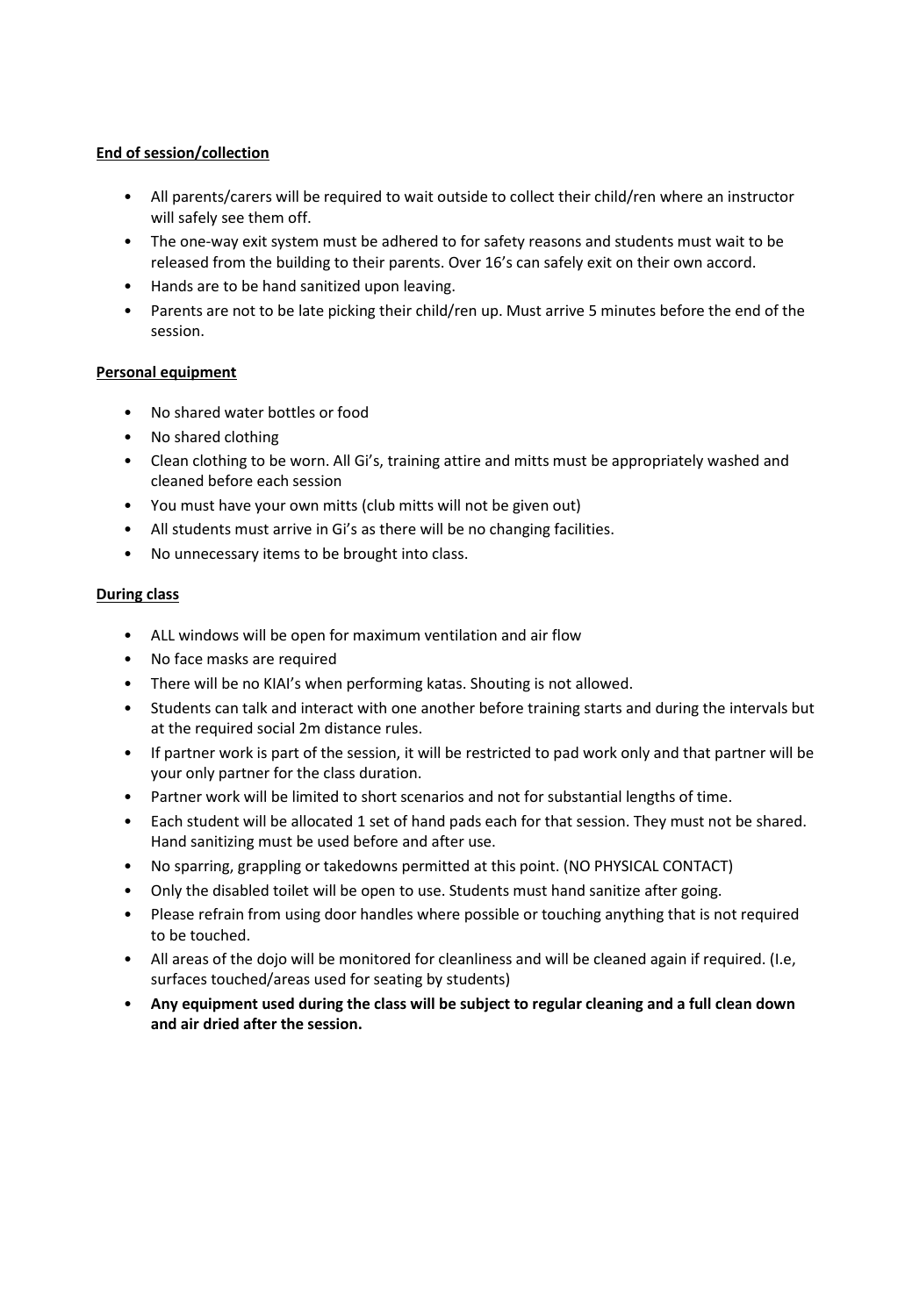## **End of session/collection**

- All parents/carers will be required to wait outside to collect their child/ren where an instructor will safely see them off.
- The one-way exit system must be adhered to for safety reasons and students must wait to be released from the building to their parents. Over 16's can safely exit on their own accord.
- Hands are to be hand sanitized upon leaving.
- Parents are not to be late picking their child/ren up. Must arrive 5 minutes before the end of the session.

### **Personal equipment**

- No shared water bottles or food
- No shared clothing
- Clean clothing to be worn. All Gi's, training attire and mitts must be appropriately washed and cleaned before each session
- You must have your own mitts (club mitts will not be given out)
- All students must arrive in Gi's as there will be no changing facilities.
- No unnecessary items to be brought into class.

### **During class**

- ALL windows will be open for maximum ventilation and air flow
- No face masks are required
- There will be no KIAI's when performing katas. Shouting is not allowed.
- Students can talk and interact with one another before training starts and during the intervals but at the required social 2m distance rules.
- If partner work is part of the session, it will be restricted to pad work only and that partner will be your only partner for the class duration.
- Partner work will be limited to short scenarios and not for substantial lengths of time.
- Each student will be allocated 1 set of hand pads each for that session. They must not be shared. Hand sanitizing must be used before and after use.
- No sparring, grappling or takedowns permitted at this point. (NO PHYSICAL CONTACT)
- Only the disabled toilet will be open to use. Students must hand sanitize after going.
- Please refrain from using door handles where possible or touching anything that is not required to be touched.
- All areas of the dojo will be monitored for cleanliness and will be cleaned again if required. (I.e, surfaces touched/areas used for seating by students)
- **Any equipment used during the class will be subject to regular cleaning and a full clean down and air dried after the session.**